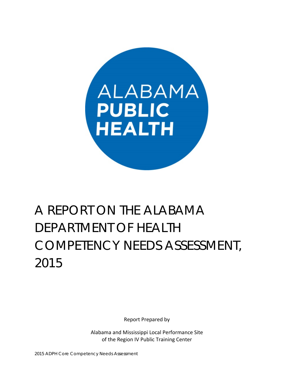

# A REPORT ON THE ALABAMA DEPARTMENT OF HEALTH COMPETENCY NEEDS ASSESSMENT, 2015

Report Prepared by

Alabama and Mississippi Local Performance Site of the Region IV Public Training Center

2015 ADPH Core Competency Needs Assessment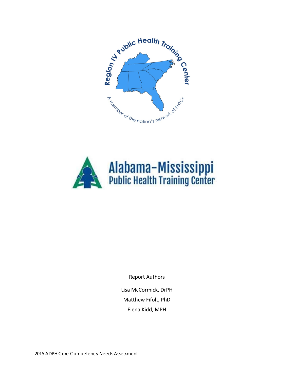



Report Authors

Lisa McCormick, DrPH Matthew Fifolt, PhD Elena Kidd, MPH

2015 ADPH Core Competency Needs Assessment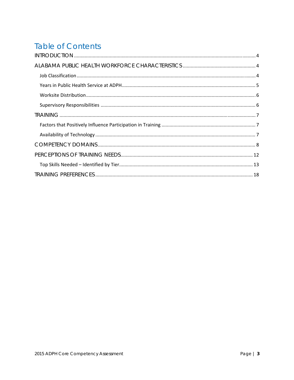# **Table of Contents**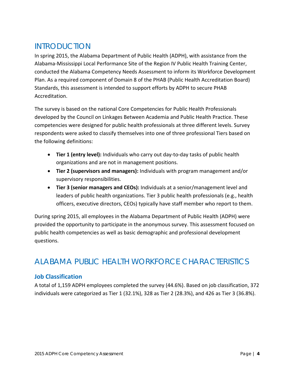# INTRODUCTION

In spring 2015, the Alabama Department of Public Health (ADPH), with assistance from the Alabama‐Mississippi Local Performance Site of the Region IV Public Health Training Center, conducted the Alabama Competency Needs Assessment to inform its Workforce Development Plan. As a required component of Domain 8 of the PHAB (Public Health Accreditation Board) Standards, this assessment is intended to support efforts by ADPH to secure PHAB Accreditation.

The survey is based on the national Core Competencies for Public Health Professionals developed by the Council on Linkages Between Academia and Public Health Practice. These competencies were designed for public health professionals at three different levels. Survey respondents were asked to classify themselves into one of three professional Tiers based on the following definitions:

- **Tier 1 (entry level):** Individuals who carry out day‐to‐day tasks of public health organizations and are not in management positions.
- **Tier 2 (supervisors and managers):** Individuals with program management and/or supervisory responsibilities.
- **Tier 3 (senior managers and CEOs):** Individuals at a senior/management level and leaders of public health organizations. Tier 3 public health professionals (e.g., health officers, executive directors, CEOs) typically have staff member who report to them.

During spring 2015, all employees in the Alabama Department of Public Health (ADPH) were provided the opportunity to participate in the anonymous survey. This assessment focused on public health competencies as well as basic demographic and professional development questions.

# ALABAMA PUBLIC HEALTH WORKFORCE CHARACTERISTICS

### **Job Classification**

A total of 1,159 ADPH employees completed the survey (44.6%). Based on job classification, 372 individuals were categorized as Tier 1 (32.1%), 328 as Tier 2 (28.3%), and 426 as Tier 3 (36.8%).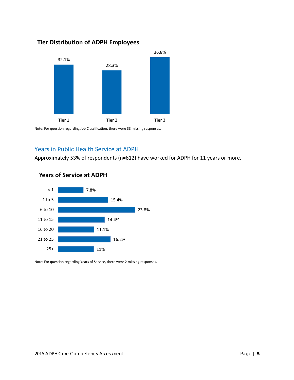# 32.1% 28.3% 36.8% Tier 1 Tier 2 Tier 2 Tier 3

Note: For question regarding Job Classification, there were 33 missing responses.

### Years in Public Health Service at ADPH

**Tier Distribution of ADPH Employees**

Approximately 53% of respondents (n=612) have worked for ADPH for 11 years or more.



### **Years of Service at ADPH**

Note: For question regarding Years of Service, there were 2 missing responses.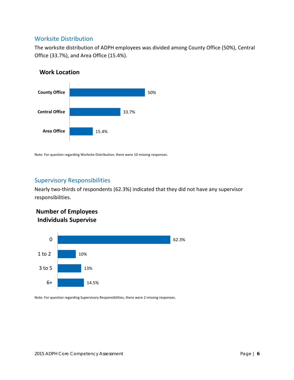#### Worksite Distribution

The worksite distribution of ADPH employees was divided among County Office (50%), Central Office (33.7%), and Area Office (15.4%).

#### **Work Location**



Note: For question regarding Worksite Distribution, there were 10 missing responses.

#### Supervisory Responsibilities

Nearly two‐thirds of respondents (62.3%) indicated that they did not have any supervisor responsibilities.

## **Number of Employees Individuals Supervise**



Note: For question regarding Supervisory Responsibilities, there were 2 missing responses.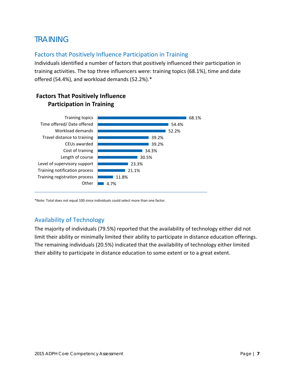# TRAINING

#### Factors that Positively Influence Participation in Training

Individuals identified a number of factors that positively influenced their participation in training activities. The top three influencers were: training topics (68.1%), time and date offered (54.4%), and workload demands (52.2%).\*



## **Factors That Positively Influence Participation in Training**

\*Note: Total does not equal 100 since individuals could select more than one factor.

## Availability of Technology

The majority of individuals (79.5%) reported that the availability of technology either did not limit their ability or minimally limited their ability to participate in distance education offerings. The remaining individuals (20.5%) indicated that the availability of technology either limited their ability to participate in distance education to some extent or to a great extent.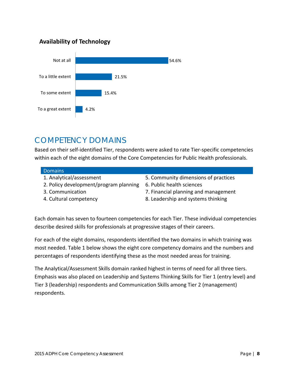## **Availability of Technology**



# COMPETENCY DOMAINS

Based on their self‐identified Tier, respondents were asked to rate Tier‐specific competencies within each of the eight domains of the Core Competencies for Public Health professionals.

#### **Domains**

- 
- 2. Policy development/program planning 6. Public health sciences
- 
- 
- 1. Analytical/assessment 5. Community dimensions of practices
	-
- 3. Communication 7. Financial planning and management
- 4. Cultural competency 8. Leadership and systems thinking

Each domain has seven to fourteen competencies for each Tier. These individual competencies describe desired skills for professionals at progressive stages of their careers.

For each of the eight domains, respondents identified the two domains in which training was most needed. Table 1 below shows the eight core competency domains and the numbers and percentages of respondents identifying these as the most needed areas for training.

The Analytical/Assessment Skills domain ranked highest in terms of need for all three tiers. Emphasis was also placed on Leadership and Systems Thinking Skills for Tier 1 (entry level) and Tier 3 (leadership) respondents and Communication Skills among Tier 2 (management) respondents.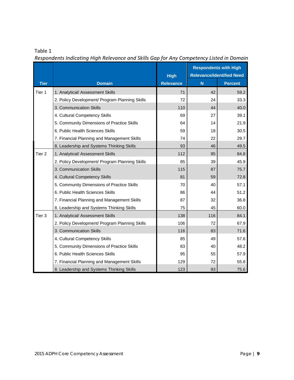#### Table 1

|                   |                                                | <b>High</b>      | <b>Respondents with High</b><br><b>Relevance/Identified Need</b> |                |
|-------------------|------------------------------------------------|------------------|------------------------------------------------------------------|----------------|
| <b>Tier</b>       | <b>Domain</b>                                  | <b>Relevance</b> | N                                                                | <b>Percent</b> |
| Tier 1            | 1. Analytical/ Assessment Skills               | 71               | 42                                                               | 59.2           |
|                   | 2. Policy Development/ Program Planning Skills | 72               | 24                                                               | 33.3           |
|                   | 3. Communication Skills                        | 110              | 44                                                               | 40.0           |
|                   | 4. Cultural Competency Skills                  | 69               | 27                                                               | 39.1           |
|                   | 5. Community Dimensions of Practice Skills     | 64               | 14                                                               | 21.9           |
|                   | 6. Public Health Sciences Skills               | 59               | 18                                                               | 30.5           |
|                   | 7. Financial Planning and Management Skills    | 74               | 22                                                               | 29.7           |
|                   | 8. Leadership and Systems Thinking Skills      | 93               | 46                                                               | 49.5           |
| Tier <sub>2</sub> | 1. Analytical/ Assessment Skills               | 112              | 95                                                               | 84.8           |
|                   | 2. Policy Development/ Program Planning Skills | 85               | 39                                                               | 45.9           |
|                   | 3. Communication Skills                        | 115              | 87                                                               | 75.7           |
|                   | 4. Cultural Competency Skills                  | 81               | 59                                                               | 72.8           |
|                   | 5. Community Dimensions of Practice Skills     | 70               | 40                                                               | 57.1           |
|                   | 6. Public Health Sciences Skills               | 86               | 44                                                               | 51.2           |
|                   | 7. Financial Planning and Management Skills    | 87               | 32                                                               | 36.8           |
|                   | 8. Leadership and Systems Thinking Skills      | 75               | 45                                                               | 60.0           |
| Tier <sub>3</sub> | 1. Analytical/ Assessment Skills               | 138              | 116                                                              | 84.1           |
|                   | 2. Policy Development/ Program Planning Skills | 106              | 72                                                               | 67.9           |
|                   | 3. Communication Skills                        | 116              | 83                                                               | 71.6           |
|                   | 4. Cultural Competency Skills                  | 85               | 49                                                               | 57.6           |
|                   | 5. Community Dimensions of Practice Skills     | 83               | 40                                                               | 48.2           |
|                   | 6. Public Health Sciences Skills               | 95               | 55                                                               | 57.9           |
|                   | 7. Financial Planning and Management Skills    | 129              | 72                                                               | 55.8           |
|                   | 8. Leadership and Systems Thinking Skills      | 123              | 93                                                               | 75.6           |

*Respondents Indicating High Relevance and Skills Gap for Any Competency Listed in Domain*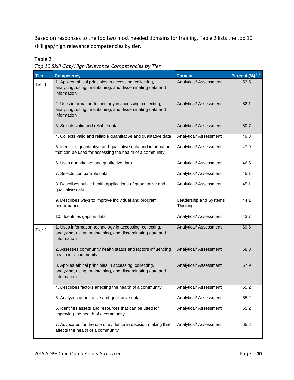Based on responses to the top two most needed domains for training, Table 2 lists the top 10 skill gap/high relevance competencies by tier.

Table 2

*Top 10 Skill Gap/High Relevance Competencies by Tier*

| <b>Tier</b>       | <b>Competency</b>                                                                                                                    | <b>Domain</b>                      | Percent (%) <sup>[1]</sup> |
|-------------------|--------------------------------------------------------------------------------------------------------------------------------------|------------------------------------|----------------------------|
| Tier 1            | 1. Applies ethical principles in accessing, collecting,<br>analyzing, using, maintaining, and disseminating data and<br>information  | Analytical/ Assessment             | 53.5                       |
|                   | 2. Uses information technology in accessing, collecting,<br>analyzing, using, maintaining, and disseminating data and<br>information | Analytical/ Assessment             | 52.1                       |
|                   | 3. Selects valid and reliable data                                                                                                   | Analytical/ Assessment             | 50.7                       |
|                   | 4. Collects valid and reliable quantitative and qualitative data                                                                     | Analytical/ Assessment             | 49.3                       |
|                   | 5. Identifies quantitative and qualitative data and information<br>that can be used for assessing the health of a community          | Analytical/ Assessment             | 47.9                       |
|                   | 6. Uses quantitative and qualitative data                                                                                            | Analytical/ Assessment             | 46.5                       |
|                   | 7. Selects comparable data                                                                                                           | Analytical/ Assessment             | 45.1                       |
|                   | 8. Describes public health applications of quantitative and<br>qualitative data                                                      | Analytical/ Assessment             | 45.1                       |
|                   | 9. Describes ways to improve individual and program<br>performance                                                                   | Leadership and Systems<br>Thinking | 44.1                       |
|                   | 10. Identifies gaps in data                                                                                                          | Analytical/ Assessment             | 43.7                       |
| Tier <sub>2</sub> | 1. Uses information technology in accessing, collecting,<br>analyzing, using, maintaining, and disseminating data and<br>information | Analytical/ Assessment             | 69.6                       |
|                   | 2. Assesses community health status and factors influencing<br>health in a community                                                 | Analytical/ Assessment             | 68.8                       |
|                   | 3. Applies ethical principles in accessing, collecting,<br>analyzing, using, maintaining, and disseminating data and<br>information  | Analytical/ Assessment             | 67.9                       |
|                   | 4. Describes factors affecting the health of a community                                                                             | Analytical/ Assessment             | 65.2                       |
|                   | 5. Analyzes quantitative and qualitative data                                                                                        | Analytical/ Assessment             | 65.2                       |
|                   | 6. Identifies assets and resources that can be used for<br>improving the health of a community                                       | Analytical/ Assessment             | 65.2                       |
|                   | 7. Advocates for the use of evidence in decision making that<br>affects the health of a community                                    | Analytical/ Assessment             | 65.2                       |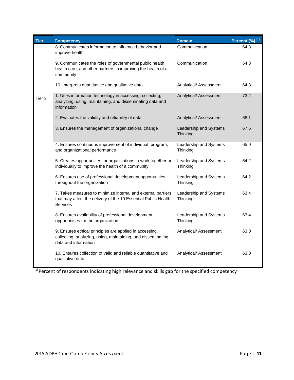| <b>Tier</b>       | <b>Competency</b>                                                                                                                               | <b>Domain</b>                      | Percent (%) <sup>[1]</sup> |
|-------------------|-------------------------------------------------------------------------------------------------------------------------------------------------|------------------------------------|----------------------------|
|                   | 8. Communicates information to influence behavior and<br>improve health                                                                         | Communication                      | 64.3                       |
|                   | 9. Communicates the roles of governmental public health,<br>health care, and other partners in improving the health of a<br>community           | Communication                      | 64.3                       |
|                   | 10. Interprets quantitative and qualitative data                                                                                                | Analytical/ Assessment             | 64.3                       |
| Tier <sub>3</sub> | 1. Uses information technology in accessing, collecting,<br>analyzing, using, maintaining, and disseminating data and<br>information            | Analytical/ Assessment             | 73.2                       |
|                   | 2. Evaluates the validity and reliability of data                                                                                               | Analytical/ Assessment             | 68.1                       |
|                   | 3. Ensures the management of organizational change                                                                                              | Leadership and Systems<br>Thinking | 67.5                       |
|                   | 4. Ensures continuous improvement of individual, program,<br>and organizational performance                                                     | Leadership and Systems<br>Thinking | 65.0                       |
|                   | 5. Creates opportunities for organizations to work together or<br>individually to improve the health of a community                             | Leadership and Systems<br>Thinking | 64.2                       |
|                   | 6. Ensures use of professional development opportunities<br>throughout the organization                                                         | Leadership and Systems<br>Thinking | 64.2                       |
|                   | 7. Takes measures to minimize internal and external barriers<br>that may affect the delivery of the 10 Essential Public Health<br>Services      | Leadership and Systems<br>Thinking | 63.4                       |
|                   | 8. Ensures availability of professional development<br>opportunities for the organization                                                       | Leadership and Systems<br>Thinking | 63.4                       |
|                   | 9. Ensures ethical principles are applied in accessing,<br>collecting, analyzing, using, maintaining, and disseminating<br>data and information | Analytical/ Assessment             | 63.0                       |
|                   | 10. Ensures collection of valid and reliable quantitative and<br>qualitative data                                                               | Analytical/ Assessment             | 63.0                       |

<sup>[1]</sup> Percent of respondents indicating high relevance and skills gap for the specified competency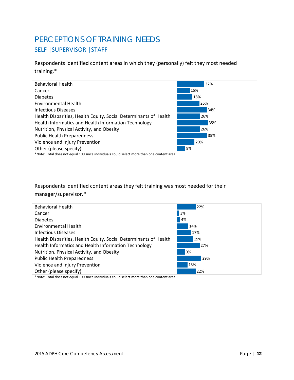# PERCEPTIONS OF TRAINING NEEDS SELF | SUPERVISOR | STAFF

Respondents identified content areas in which they (personally) felt they most needed training.\*



\*Note: Total does not equal 100 since individuals could select more than one content area.

Respondents identified content areas they felt training was most needed for their manager/supervisor.\*

| <b>Behavioral Health</b>                                         | 22% |
|------------------------------------------------------------------|-----|
| Cancer                                                           | 3%  |
| <b>Diabetes</b>                                                  | 4%  |
| <b>Environmental Health</b>                                      | 14% |
| Infectious Diseases                                              | 17% |
| Health Disparities, Health Equity, Social Determinants of Health | 19% |
| Health Informatics and Health Information Technology             | 27% |
| Nutrition, Physical Activity, and Obesity                        | 9%  |
| <b>Public Health Preparedness</b>                                | 29% |
| Violence and Injury Prevention                                   | 13% |
| Other (please specify)                                           | 22% |

\*Note: Total does not equal 100 since individuals could select more than one content area.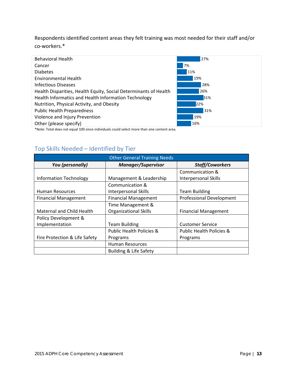## Respondents identified content areas they felt training was most needed for their staff and/or co‐workers.\*

| <b>Behavioral Health</b>                                                   | 27% |
|----------------------------------------------------------------------------|-----|
| Cancer                                                                     | 7%  |
| <b>Diabetes</b>                                                            | 11% |
| Environmental Health                                                       | 19% |
| Infectious Diseases                                                        | 28% |
| Health Disparities, Health Equity, Social Determinants of Health           | 26% |
| Health Informatics and Health Information Technology                       | 31% |
| Nutrition, Physical Activity, and Obesity                                  | 22% |
| <b>Public Health Preparedness</b>                                          | 31% |
| Violence and Injury Prevention                                             | 19% |
| Other (please specify)                                                     | 16% |
| ★★1.1. 元:1.1.1....... .1 400.・... ! !!! -1... 1... 1...................... |     |

\*Note: Total does not equal 100 since individuals could select more than one content area.

## Top Skills Needed – Identified by Tier

| <b>Other General Training Needs</b>                              |                                     |                                     |  |  |
|------------------------------------------------------------------|-------------------------------------|-------------------------------------|--|--|
| You (personally)<br><b>Manager/Supervisor</b><br>Staff/Coworkers |                                     |                                     |  |  |
|                                                                  |                                     | Communication &                     |  |  |
| <b>Information Technology</b>                                    | Management & Leadership             | Interpersonal Skills                |  |  |
|                                                                  | Communication &                     |                                     |  |  |
| <b>Human Resources</b>                                           | Interpersonal Skills                | <b>Team Building</b>                |  |  |
| <b>Financial Management</b>                                      | <b>Financial Management</b>         | <b>Professional Development</b>     |  |  |
|                                                                  | Time Management &                   |                                     |  |  |
| Maternal and Child Health                                        | <b>Organizational Skills</b>        | <b>Financial Management</b>         |  |  |
| Policy Development &                                             |                                     |                                     |  |  |
| Implementation                                                   | <b>Team Building</b>                | <b>Customer Service</b>             |  |  |
|                                                                  | <b>Public Health Policies &amp;</b> | <b>Public Health Policies &amp;</b> |  |  |
| Fire Protection & Life Safety                                    | Programs                            | Programs                            |  |  |
|                                                                  | <b>Human Resources</b>              |                                     |  |  |
|                                                                  | <b>Building &amp; Life Safety</b>   |                                     |  |  |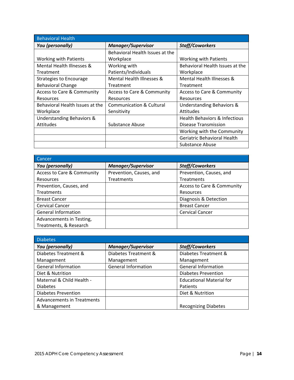| <b>Behavioral Health</b>        |                                     |                                          |
|---------------------------------|-------------------------------------|------------------------------------------|
| You (personally)                | <b>Manager/Supervisor</b>           | <b>Staff/Coworkers</b>                   |
|                                 | Behavioral Health Issues at the     |                                          |
| <b>Working with Patients</b>    | Workplace                           | <b>Working with Patients</b>             |
| Mental Health Illnesses &       | Working with                        | Behavioral Health Issues at the          |
| Treatment                       | Patients/Individuals                | Workplace                                |
| <b>Strategies to Encourage</b>  | Mental Health Illnesses &           | Mental Health Illnesses &                |
| <b>Behavioral Change</b>        | Treatment                           | Treatment                                |
| Access to Care & Community      | Access to Care & Community          | Access to Care & Community               |
| Resources                       | Resources                           | Resources                                |
| Behavioral Health Issues at the | <b>Communication &amp; Cultural</b> | Understanding Behaviors &                |
| Workplace                       | Sensitivity                         | Attitudes                                |
| Understanding Behaviors &       |                                     | <b>Health Behaviors &amp; Infectious</b> |
| Attitudes                       | Substance Abuse                     | Disease Transmission                     |
|                                 |                                     | Working with the Community               |
|                                 |                                     | Geriatric Behavioral Health              |
|                                 |                                     | Substance Abuse                          |

| Cancer                                |                           |                            |
|---------------------------------------|---------------------------|----------------------------|
| You (personally)                      | <b>Manager/Supervisor</b> | Staff/Coworkers            |
| <b>Access to Care &amp; Community</b> | Prevention, Causes, and   | Prevention, Causes, and    |
| Resources                             | <b>Treatments</b>         | <b>Treatments</b>          |
| Prevention, Causes, and               |                           | Access to Care & Community |
| <b>Treatments</b>                     |                           | Resources                  |
| <b>Breast Cancer</b>                  |                           | Diagnosis & Detection      |
| <b>Cervical Cancer</b>                |                           | <b>Breast Cancer</b>       |
| <b>General Information</b>            |                           | <b>Cervical Cancer</b>     |
| Advancements in Testing,              |                           |                            |
| Treatments, & Research                |                           |                            |

| <b>Diabetes</b>            |                            |                                 |
|----------------------------|----------------------------|---------------------------------|
| You (personally)           | <b>Manager/Supervisor</b>  | <b>Staff/Coworkers</b>          |
| Diabetes Treatment &       | Diabetes Treatment &       | Diabetes Treatment &            |
| Management                 | Management                 | Management                      |
| <b>General Information</b> | <b>General Information</b> | <b>General Information</b>      |
| Diet & Nutrition           |                            | <b>Diabetes Prevention</b>      |
| Maternal & Child Health -  |                            | <b>Educational Material for</b> |
| <b>Diabetes</b>            |                            | Patients                        |
| <b>Diabetes Prevention</b> |                            | Diet & Nutrition                |
| Advancements in Treatments |                            |                                 |
| & Management               |                            | <b>Recognizing Diabetes</b>     |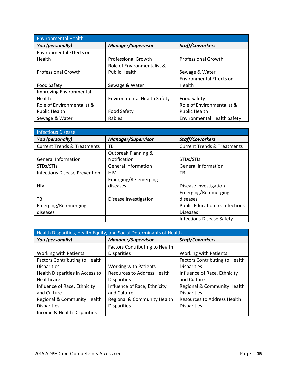| <b>Environmental Health</b>    |                                    |                                    |  |  |
|--------------------------------|------------------------------------|------------------------------------|--|--|
| You (personally)               | <b>Manager/Supervisor</b>          | <b>Staff/Coworkers</b>             |  |  |
| Environmental Effects on       |                                    |                                    |  |  |
| Health                         | <b>Professional Growth</b>         | <b>Professional Growth</b>         |  |  |
|                                | Role of Environmentalist &         |                                    |  |  |
| <b>Professional Growth</b>     | <b>Public Health</b>               | Sewage & Water                     |  |  |
|                                |                                    | Environmental Effects on           |  |  |
| <b>Food Safety</b>             | Sewage & Water                     | Health                             |  |  |
| <b>Improving Environmental</b> |                                    |                                    |  |  |
| Health                         | <b>Environmental Health Safety</b> | <b>Food Safety</b>                 |  |  |
| Role of Environmentalist &     |                                    | Role of Environmentalist &         |  |  |
| <b>Public Health</b>           | <b>Food Safety</b>                 | <b>Public Health</b>               |  |  |
| Sewage & Water                 | Rabies                             | <b>Environmental Health Safety</b> |  |  |

| Infectious Disease                     |                                |                                        |
|----------------------------------------|--------------------------------|----------------------------------------|
| You (personally)                       | <b>Manager/Supervisor</b>      | <b>Staff/Coworkers</b>                 |
| <b>Current Trends &amp; Treatments</b> | ТB                             | <b>Current Trends &amp; Treatments</b> |
|                                        | <b>Outbreak Planning &amp;</b> |                                        |
| <b>General Information</b>             | <b>Notification</b>            | STDs/STIs                              |
| STDs/STIs                              | <b>General Information</b>     | <b>General Information</b>             |
| <b>Infectious Disease Prevention</b>   | <b>HIV</b>                     | тв                                     |
|                                        | Emerging/Re-emerging           |                                        |
| <b>HIV</b>                             | diseases                       | Disease Investigation                  |
|                                        |                                | Emerging/Re-emerging                   |
| тв                                     | Disease Investigation          | diseases                               |
| Emerging/Re-emerging                   |                                | <b>Public Education re: Infectious</b> |
| diseases                               |                                | <b>Diseases</b>                        |
|                                        |                                | <b>Infectious Disease Safety</b>       |

| Health Disparities, Health Equity, and Social Determinants of Health |                                       |                                       |
|----------------------------------------------------------------------|---------------------------------------|---------------------------------------|
| You (personally)                                                     | <b>Manager/Supervisor</b>             | Staff/Coworkers                       |
|                                                                      | <b>Factors Contributing to Health</b> |                                       |
| <b>Working with Patients</b>                                         | <b>Disparities</b>                    | <b>Working with Patients</b>          |
| <b>Factors Contributing to Health</b>                                |                                       | <b>Factors Contributing to Health</b> |
| <b>Disparities</b>                                                   | <b>Working with Patients</b>          | <b>Disparities</b>                    |
| Health Disparities in Access to                                      | <b>Resources to Address Health</b>    | Influence of Race, Ethnicity          |
| Healthcare                                                           | <b>Disparities</b>                    | and Culture                           |
| Influence of Race, Ethnicity                                         | Influence of Race, Ethnicity          | Regional & Community Health           |
| and Culture                                                          | and Culture                           | <b>Disparities</b>                    |
| Regional & Community Health                                          | Regional & Community Health           | <b>Resources to Address Health</b>    |
| <b>Disparities</b>                                                   | <b>Disparities</b>                    | <b>Disparities</b>                    |
| Income & Health Disparities                                          |                                       |                                       |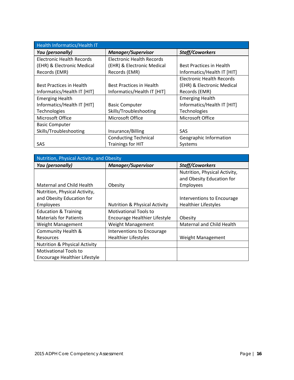| Health Informatics/Health IT     |                                                               |                             |  |
|----------------------------------|---------------------------------------------------------------|-----------------------------|--|
| You (personally)                 | <b>Manager/Supervisor</b>                                     | Staff/Coworkers             |  |
| <b>Electronic Health Records</b> | Electronic Health Records                                     |                             |  |
| (EHR) & Electronic Medical       | (EHR) & Electronic Medical<br><b>Best Practices in Health</b> |                             |  |
| Records (EMR)                    | Records (EMR)                                                 | Informatics/Health IT [HIT] |  |
|                                  |                                                               | Electronic Health Records   |  |
| <b>Best Practices in Health</b>  | Best Practices in Health                                      | (EHR) & Electronic Medical  |  |
| Informatics/Health IT [HIT]      | Informatics/Health IT [HIT]                                   | Records (EMR)               |  |
| <b>Emerging Health</b>           |                                                               | <b>Emerging Health</b>      |  |
| Informatics/Health IT [HIT]      | <b>Basic Computer</b>                                         | Informatics/Health IT [HIT] |  |
| Technologies                     | Skills/Troubleshooting                                        | Technologies                |  |
| Microsoft Office                 | Microsoft Office                                              | Microsoft Office            |  |
| <b>Basic Computer</b>            |                                                               |                             |  |
| Skills/Troubleshooting           | Insurance/Billing                                             | <b>SAS</b>                  |  |
|                                  | <b>Conducting Technical</b><br>Geographic Information         |                             |  |
| SAS                              | <b>Trainings for HIT</b>                                      | Systems                     |  |

| Nutrition, Physical Activity, and Obesity |                                          |                               |  |
|-------------------------------------------|------------------------------------------|-------------------------------|--|
| You (personally)                          | <b>Manager/Supervisor</b>                | Staff/Coworkers               |  |
|                                           |                                          | Nutrition, Physical Activity, |  |
|                                           |                                          | and Obesity Education for     |  |
| Maternal and Child Health                 | Obesity                                  | Employees                     |  |
| Nutrition, Physical Activity,             |                                          |                               |  |
| and Obesity Education for                 |                                          | Interventions to Encourage    |  |
| Employees                                 | <b>Nutrition &amp; Physical Activity</b> | <b>Healthier Lifestyles</b>   |  |
| <b>Education &amp; Training</b>           | Motivational Tools to                    |                               |  |
| <b>Materials for Patients</b>             | Encourage Healthier Lifestyle            | Obesity                       |  |
| Weight Management                         | Weight Management                        | Maternal and Child Health     |  |
| Community Health &                        | Interventions to Encourage               |                               |  |
| Resources                                 | <b>Healthier Lifestyles</b>              | Weight Management             |  |
| <b>Nutrition &amp; Physical Activity</b>  |                                          |                               |  |
| <b>Motivational Tools to</b>              |                                          |                               |  |
| Encourage Healthier Lifestyle             |                                          |                               |  |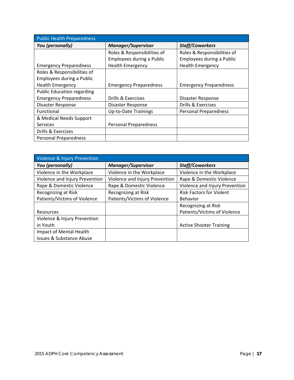| <b>Public Health Preparedness</b> |                               |                               |  |  |
|-----------------------------------|-------------------------------|-------------------------------|--|--|
| You (personally)                  | <b>Manager/Supervisor</b>     | Staff/Coworkers               |  |  |
|                                   | Roles & Responsibilities of   | Roles & Responsibilities of   |  |  |
|                                   | Employees during a Public     | Employees during a Public     |  |  |
| <b>Emergency Preparedness</b>     | <b>Health Emergency</b>       | <b>Health Emergency</b>       |  |  |
| Roles & Responsibilities of       |                               |                               |  |  |
| Employees during a Public         |                               |                               |  |  |
| <b>Health Emergency</b>           | <b>Emergency Preparedness</b> | <b>Emergency Preparedness</b> |  |  |
| <b>Public Education regarding</b> |                               |                               |  |  |
| <b>Emergency Preparedness</b>     | Drills & Exercises            | Disaster Response             |  |  |
| Disaster Response                 | Disaster Response             | Drills & Exercises            |  |  |
| Functional                        | <b>Up-to-Date Trainings</b>   | <b>Personal Preparedness</b>  |  |  |
| & Medical Needs Support           |                               |                               |  |  |
| <b>Services</b>                   | <b>Personal Preparedness</b>  |                               |  |  |
| Drills & Exercises                |                               |                               |  |  |
| <b>Personal Preparedness</b>      |                               |                               |  |  |

| Violence & Injury Prevention        |                                |                                 |  |
|-------------------------------------|--------------------------------|---------------------------------|--|
| You (personally)                    | <b>Manager/Supervisor</b>      | Staff/Coworkers                 |  |
| Violence in the Workplace           | Violence in the Workplace      | Violence in the Workplace       |  |
| Violence and Injury Prevention      | Violence and Injury Prevention | Rape & Domestic Violence        |  |
| Rape & Domestic Violence            | Rape & Domestic Violence       | Violence and Injury Prevention  |  |
| Recognizing at Risk                 | Recognizing at Risk            | <b>Risk Factors for Violent</b> |  |
| Patients/Victims of Violence        | Patients/Victims of Violence   | Behavior                        |  |
|                                     |                                | Recognizing at Risk             |  |
| Resources                           |                                | Patients/Victims of Violence    |  |
| Violence & Injury Prevention        |                                |                                 |  |
| in Youth                            |                                | <b>Active Shooter Training</b>  |  |
| Impact of Mental Health             |                                |                                 |  |
| <b>Issues &amp; Substance Abuse</b> |                                |                                 |  |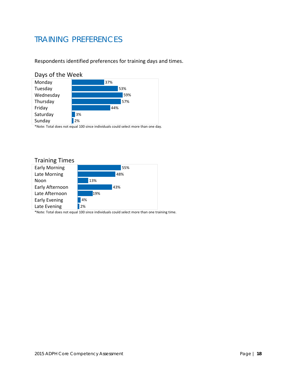# TRAINING PREFERENCES

Respondents identified preferences for training days and times.

#### Days of the Week



\*Note: Total does not equal 100 since individuals could select more than one day.

#### Training Times

| <b>Early Morning</b> |    |     | 55% |
|----------------------|----|-----|-----|
| Late Morning         |    |     | 48% |
| Noon                 |    | 13% |     |
| Early Afternoon      |    |     | 43% |
| Late Afternoon       |    | 19% |     |
| <b>Early Evening</b> | 4% |     |     |
| Late Evening         | 2% |     |     |

\*Note: Total does not equal 100 since individuals could select more than one training time.